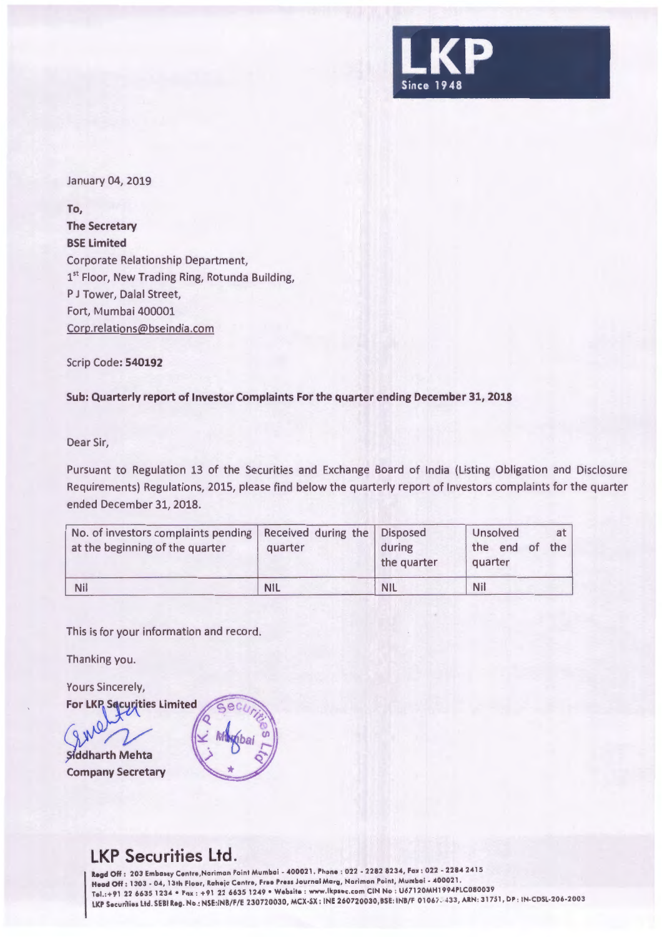

January 04, 2019

**To, The Secretary BSE Limited**  Corporate Relationship Department, 1<sup>st</sup> Floor, New Trading Ring, Rotunda Building, P J Tower, Dalal Street, Fort, Mumbai 400001 Corp.relations@bseindia.com

Scrip Code: **540192** 

**Sub: Quarterly report of Investor Complaints For the quarter ending December 31, 2018** 

Dear Sir,

Pursuant to Regulation 13 of the Securities and Exchange Board of India (Listing Obligation and Disclosure Requirements) Regulations, 2015, please find below the quarterly report of Investors complaints for the quarter ended December 31, 2018.

| No. of investors complaints pending   Received during the<br>at the beginning of the quarter | quarter    | <b>Disposed</b><br>during<br>the quarter | Unsolved<br>at<br>the end of<br>the <sub>1</sub><br>quarter |  |
|----------------------------------------------------------------------------------------------|------------|------------------------------------------|-------------------------------------------------------------|--|
| <b>Nil</b>                                                                                   | <b>NIL</b> | <b>NIL</b>                               | Nil                                                         |  |

This is for your information and record.

Thanking you.

Yours Sincerely,

**For LKP Securities Limited** 

Siddharth Mehta **Company Secretary** 



## **LKP Securities Ltd.**

**11.egd** Off : 203 Embassy Cenfre ,Nariman Poinf Mumbai • 400021 . Phone : 022 • 2282 8234, Fax : 022 • 2284 2415 Head Off : 1303 - 04, 13th Floor, Raheja Centre, Free Press Journal Marg, Nariman Point, Mumbai - 400021. Tel. :+91 22 6635 1234 •Fax : +91 22 6635 1249 • Websile : www.lkpsec .com CIN No : U67120MH1994PLC080039 LKP Securities Ltd. SEBI Reg. No.: NSE:INB/F/E 230720030, MCX-SX: INE 260720030,BSE: INB/F 01067. 433, ARN: 31751, DP: IN-CDSL-206-2003